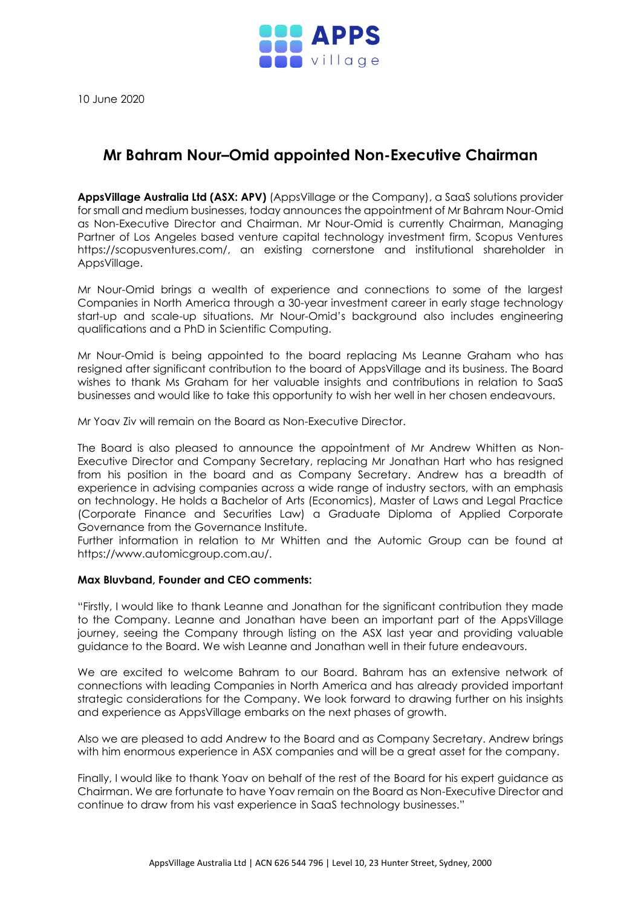

10 June 2020

## **Mr Bahram Nour–Omid appointed Non-Executive Chairman**

**AppsVillage Australia Ltd (ASX: APV)** (AppsVillage or the Company), a SaaS solutions provider for small and medium businesses, today announces the appointment of Mr Bahram Nour-Omid as Non-Executive Director and Chairman. Mr Nour-Omid is currently Chairman, Managing Partner of Los Angeles based venture capital technology investment firm, Scopus Ventures [https://scopusventures.com/,](https://scopusventures.com/) an existing cornerstone and institutional shareholder in AppsVillage.

Mr Nour-Omid brings a wealth of experience and connections to some of the largest Companies in North America through a 30-year investment career in early stage technology start-up and scale-up situations. Mr Nour-Omid's background also includes engineering qualifications and a PhD in Scientific Computing.

Mr Nour-Omid is being appointed to the board replacing Ms Leanne Graham who has resigned after significant contribution to the board of AppsVillage and its business. The Board wishes to thank Ms Graham for her valuable insights and contributions in relation to SaaS businesses and would like to take this opportunity to wish her well in her chosen endeavours.

Mr Yoav Ziv will remain on the Board as Non-Executive Director.

The Board is also pleased to announce the appointment of Mr Andrew Whitten as Non-Executive Director and Company Secretary, replacing Mr Jonathan Hart who has resigned from his position in the board and as Company Secretary. Andrew has a breadth of experience in advising companies across a wide range of industry sectors, with an emphasis on technology. He holds a Bachelor of Arts (Economics), Master of Laws and Legal Practice (Corporate Finance and Securities Law) a Graduate Diploma of Applied Corporate Governance from the Governance Institute.

Further information in relation to Mr Whitten and the Automic Group can be found at [https://www.automicgroup.com.au/.](https://www.automicgroup.com.au/)

## **Max Bluvband, Founder and CEO comments:**

"Firstly, I would like to thank Leanne and Jonathan for the significant contribution they made to the Company. Leanne and Jonathan have been an important part of the AppsVillage journey, seeing the Company through listing on the ASX last year and providing valuable guidance to the Board. We wish Leanne and Jonathan well in their future endeavours.

We are excited to welcome Bahram to our Board. Bahram has an extensive network of connections with leading Companies in North America and has already provided important strategic considerations for the Company. We look forward to drawing further on his insights and experience as AppsVillage embarks on the next phases of growth.

Also we are pleased to add Andrew to the Board and as Company Secretary. Andrew brings with him enormous experience in ASX companies and will be a great asset for the company.

Finally, I would like to thank Yoav on behalf of the rest of the Board for his expert guidance as Chairman. We are fortunate to have Yoav remain on the Board as Non-Executive Director and continue to draw from his vast experience in SaaS technology businesses."